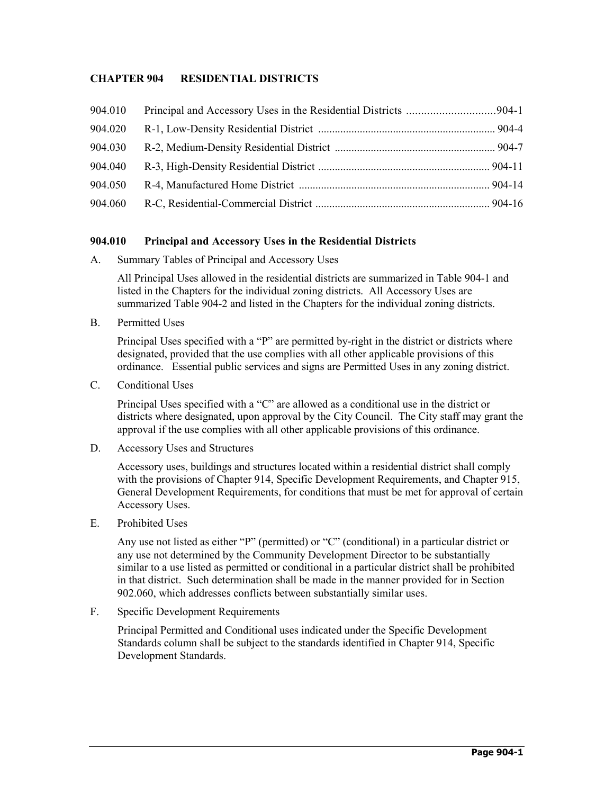# **CHAPTER 904 RESIDENTIAL DISTRICTS**

| 904.010 |  |
|---------|--|
| 904.020 |  |
| 904.030 |  |
| 904.040 |  |
| 904.050 |  |
| 904.060 |  |

## **904.010 Principal and Accessory Uses in the Residential Districts**

A. Summary Tables of Principal and Accessory Uses

All Principal Uses allowed in the residential districts are summarized in Table 904-1 and listed in the Chapters for the individual zoning districts. All Accessory Uses are summarized Table 904-2 and listed in the Chapters for the individual zoning districts.

B. Permitted Uses

Principal Uses specified with a "P" are permitted by-right in the district or districts where designated, provided that the use complies with all other applicable provisions of this ordinance. Essential public services and signs are Permitted Uses in any zoning district.

C. Conditional Uses

Principal Uses specified with a "C" are allowed as a conditional use in the district or districts where designated, upon approval by the City Council. The City staff may grant the approval if the use complies with all other applicable provisions of this ordinance.

D. Accessory Uses and Structures

Accessory uses, buildings and structures located within a residential district shall comply with the provisions of Chapter 914, Specific Development Requirements, and Chapter 915, General Development Requirements, for conditions that must be met for approval of certain Accessory Uses.

E. Prohibited Uses

Any use not listed as either "P" (permitted) or "C" (conditional) in a particular district or any use not determined by the Community Development Director to be substantially similar to a use listed as permitted or conditional in a particular district shall be prohibited in that district. Such determination shall be made in the manner provided for in Section 902.060, which addresses conflicts between substantially similar uses.

F. Specific Development Requirements

Principal Permitted and Conditional uses indicated under the Specific Development Standards column shall be subject to the standards identified in Chapter 914, Specific Development Standards.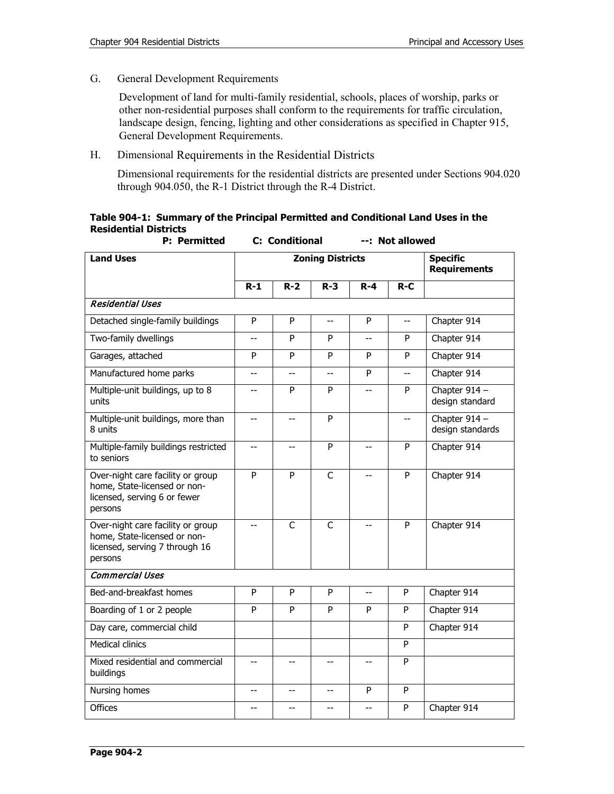G. General Development Requirements

Development of land for multi-family residential, schools, places of worship, parks or other non-residential purposes shall conform to the requirements for traffic circulation, landscape design, fencing, lighting and other considerations as specified in Chapter 915, General Development Requirements.

H. Dimensional Requirements in the Residential Districts

Dimensional requirements for the residential districts are presented under Sections 904.020 through 904.050, the R-1 District through the R-4 District.

### **Table 904-1: Summary of the Principal Permitted and Conditional Land Uses in the Residential Districts**

| <b>P:</b> Permitted                                                                                            |                          | <b>C: Conditional</b> |                         |                          | --: Not allowed |                                        |
|----------------------------------------------------------------------------------------------------------------|--------------------------|-----------------------|-------------------------|--------------------------|-----------------|----------------------------------------|
| <b>Land Uses</b>                                                                                               |                          |                       | <b>Zoning Districts</b> |                          |                 | <b>Specific</b><br><b>Requirements</b> |
|                                                                                                                | $R-1$                    | $R-2$                 | $R-3$                   | <b>R-4</b>               | $R-C$           |                                        |
| <b>Residential Uses</b>                                                                                        |                          |                       |                         |                          |                 |                                        |
| Detached single-family buildings                                                                               | P                        | P                     | $\overline{a}$          | P                        |                 | Chapter 914                            |
| Two-family dwellings                                                                                           | $\overline{a}$           | P                     | P                       | $\overline{\phantom{a}}$ | P               | Chapter 914                            |
| Garages, attached                                                                                              | P                        | P                     | P                       | P                        | P               | Chapter 914                            |
| Manufactured home parks                                                                                        | $- -$                    | $-$                   | --                      | P                        | --              | Chapter 914                            |
| Multiple-unit buildings, up to 8<br>units                                                                      | $\overline{a}$           | P                     | P                       |                          | P               | Chapter 914 -<br>design standard       |
| Multiple-unit buildings, more than<br>8 units                                                                  | $\overline{\phantom{a}}$ | $-$                   | P                       |                          | $\overline{a}$  | Chapter 914 -<br>design standards      |
| Multiple-family buildings restricted<br>to seniors                                                             | $-$                      | --                    | P                       | --                       | P               | Chapter 914                            |
| Over-night care facility or group<br>home, State-licensed or non-<br>licensed, serving 6 or fewer<br>persons   | P                        | P                     | $\mathsf{C}$            |                          | P               | Chapter 914                            |
| Over-night care facility or group<br>home, State-licensed or non-<br>licensed, serving 7 through 16<br>persons | $\overline{a}$           | C                     | $\mathsf{C}$            | $-$                      | P               | Chapter 914                            |
| <b>Commercial Uses</b>                                                                                         |                          |                       |                         |                          |                 |                                        |
| Bed-and-breakfast homes                                                                                        | P                        | P                     | P                       | $\overline{\phantom{a}}$ | P               | Chapter 914                            |
| Boarding of 1 or 2 people                                                                                      | P                        | P                     | P                       | P                        | P               | Chapter 914                            |
| Day care, commercial child                                                                                     |                          |                       |                         |                          | P               | Chapter 914                            |
| <b>Medical clinics</b>                                                                                         |                          |                       |                         |                          | P               |                                        |
| Mixed residential and commercial<br>buildings                                                                  | $-$                      |                       |                         |                          | P               |                                        |
| Nursing homes                                                                                                  | $-$                      | --                    | --                      | P                        | P               |                                        |
| <b>Offices</b>                                                                                                 | $-$                      |                       | --                      | $-$                      | P               | Chapter 914                            |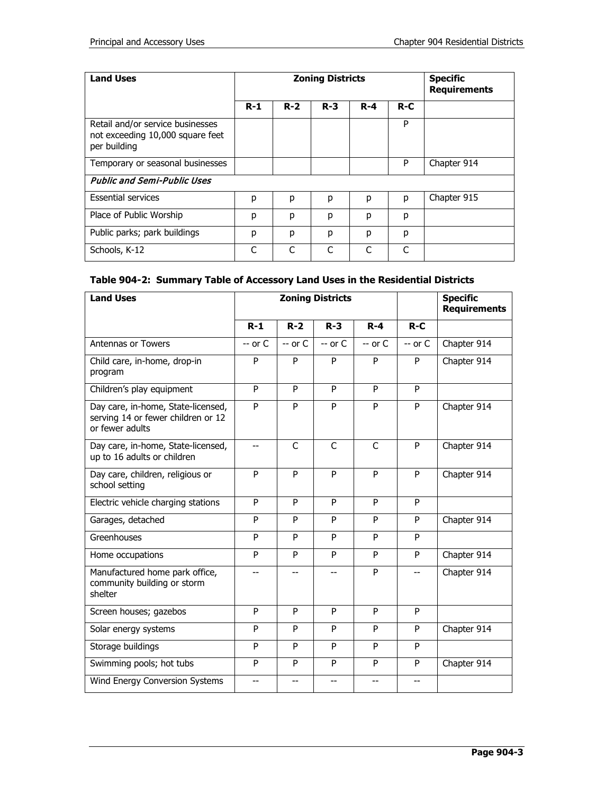| <b>Land Uses</b>                                                                     |       | <b>Zoning Districts</b> | <b>Specific</b><br><b>Requirements</b> |         |       |             |
|--------------------------------------------------------------------------------------|-------|-------------------------|----------------------------------------|---------|-------|-------------|
|                                                                                      | $R-1$ | $R-2$                   | $R - 3$                                | $R - 4$ | $R-C$ |             |
| Retail and/or service businesses<br>not exceeding 10,000 square feet<br>per building |       |                         |                                        |         | P     |             |
| Temporary or seasonal businesses                                                     |       |                         |                                        |         | P     | Chapter 914 |
| <b>Public and Semi-Public Uses</b>                                                   |       |                         |                                        |         |       |             |
| <b>Essential services</b>                                                            | p     | p                       | р                                      | р       | p     | Chapter 915 |
| Place of Public Worship                                                              | p     | p                       | р                                      | р       | р     |             |
| Public parks; park buildings                                                         | p     | р                       | р                                      | р       | p     |             |
| Schools, K-12                                                                        | C     | C                       | C                                      | C       | C     |             |

# **Table 904-2: Summary Table of Accessory Land Uses in the Residential Districts**

| <b>Land Uses</b>                                                                            |            |              | <b>Zoning Districts</b> |                | <b>Specific</b><br><b>Requirements</b> |             |
|---------------------------------------------------------------------------------------------|------------|--------------|-------------------------|----------------|----------------------------------------|-------------|
|                                                                                             | $R-1$      | $R-2$        | $R - 3$                 | $R - 4$        | $R-C$                                  |             |
| <b>Antennas or Towers</b>                                                                   | $-$ or $C$ | $-$ or $C$   | $-$ or $C$              | $-$ or $C$     | $-$ or $C$                             | Chapter 914 |
| Child care, in-home, drop-in<br>program                                                     | P          | P            | P                       | P              | P                                      | Chapter 914 |
| Children's play equipment                                                                   | P          | P            | P                       | P              | P                                      |             |
| Day care, in-home, State-licensed,<br>serving 14 or fewer children or 12<br>or fewer adults | P          | P            | P                       | P              | P                                      | Chapter 914 |
| Day care, in-home, State-licensed,<br>up to 16 adults or children                           |            | $\mathsf{C}$ | $\overline{C}$          | $\overline{C}$ | P                                      | Chapter 914 |
| Day care, children, religious or<br>school setting                                          | P          | P            | P                       | P              | P                                      | Chapter 914 |
| Electric vehicle charging stations                                                          | P          | P            | P                       | P              | P                                      |             |
| Garages, detached                                                                           | P          | P            | P                       | P              | P                                      | Chapter 914 |
| Greenhouses                                                                                 | P          | P            | P                       | P              | P                                      |             |
| Home occupations                                                                            | P          | P            | P                       | P              | P                                      | Chapter 914 |
| Manufactured home park office,<br>community building or storm<br>shelter                    | --         | --           | $-$                     | P              | --                                     | Chapter 914 |
| Screen houses; gazebos                                                                      | P          | P            | P                       | P              | P                                      |             |
| Solar energy systems                                                                        | P          | P            | P                       | P              | P                                      | Chapter 914 |
| Storage buildings                                                                           | P          | P            | P                       | P              | P                                      |             |
| Swimming pools; hot tubs                                                                    | P          | P            | P                       | P              | P                                      | Chapter 914 |
| Wind Energy Conversion Systems                                                              | --         | --           | $-$                     | $-$            | $-$                                    |             |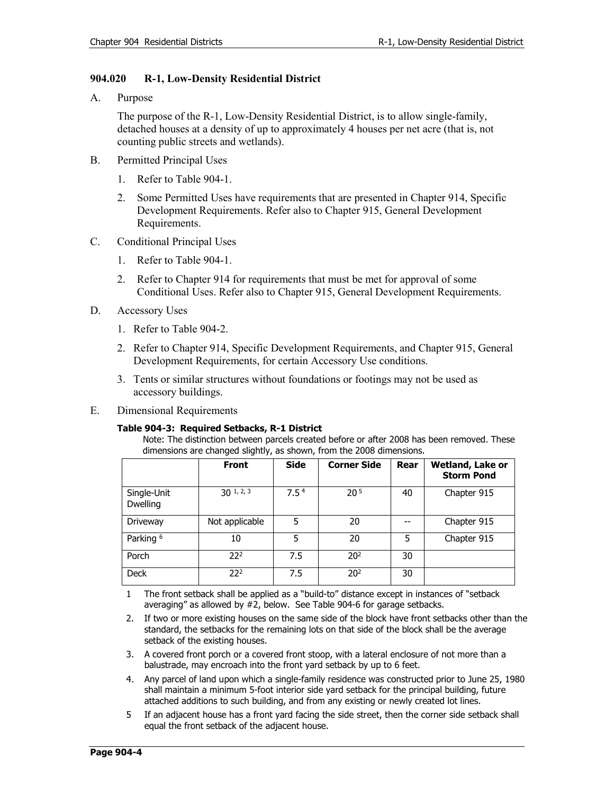# **904.020 R-1, Low-Density Residential District**

A. Purpose

The purpose of the R-1, Low-Density Residential District, is to allow single-family, detached houses at a density of up to approximately 4 houses per net acre (that is, not counting public streets and wetlands).

- B. Permitted Principal Uses
	- 1. Refer to Table 904-1.
	- 2. Some Permitted Uses have requirements that are presented in Chapter 914, Specific Development Requirements. Refer also to Chapter 915, General Development Requirements.
- C. Conditional Principal Uses
	- 1. Refer to Table 904-1.
	- 2. Refer to Chapter 914 for requirements that must be met for approval of some Conditional Uses. Refer also to Chapter 915, General Development Requirements.
- D. Accessory Uses
	- 1. Refer to Table 904-2.
	- 2. Refer to Chapter 914, Specific Development Requirements, and Chapter 915, General Development Requirements, for certain Accessory Use conditions.
	- 3. Tents or similar structures without foundations or footings may not be used as accessory buildings.
- E. Dimensional Requirements

#### **Table 904-3: Required Setbacks, R-1 District**

Note: The distinction between parcels created before or after 2008 has been removed. These dimensions are changed slightly, as shown, from the 2008 dimensions.

|                                | <b>Front</b>    | <b>Side</b>      | <b>Corner Side</b> | Rear | Wetland, Lake or<br><b>Storm Pond</b> |
|--------------------------------|-----------------|------------------|--------------------|------|---------------------------------------|
| Single-Unit<br><b>Dwelling</b> | 30 1, 2, 3      | 7.5 <sup>4</sup> | 20 <sup>5</sup>    | 40   | Chapter 915                           |
| Driveway                       | Not applicable  | 5                | 20                 |      | Chapter 915                           |
| Parking <sup>6</sup>           | 10              | 5                | 20                 | 5    | Chapter 915                           |
| Porch                          | 22 <sup>2</sup> | 7.5              | 20 <sup>2</sup>    | 30   |                                       |
| <b>Deck</b>                    | 22 <sup>2</sup> | 7.5              | 20 <sup>2</sup>    | 30   |                                       |

<sup>1</sup> The front setback shall be applied as a "build-to" distance except in instances of "setback averaging" as allowed by #2, below. See Table 904-6 for garage setbacks.

- 2. If two or more existing houses on the same side of the block have front setbacks other than the standard, the setbacks for the remaining lots on that side of the block shall be the average setback of the existing houses.
- 3. A covered front porch or a covered front stoop, with a lateral enclosure of not more than a balustrade, may encroach into the front yard setback by up to 6 feet.
- 4. Any parcel of land upon which a single-family residence was constructed prior to June 25, 1980 shall maintain a minimum 5-foot interior side yard setback for the principal building, future attached additions to such building, and from any existing or newly created lot lines.
- 5 If an adjacent house has a front yard facing the side street, then the corner side setback shall equal the front setback of the adjacent house.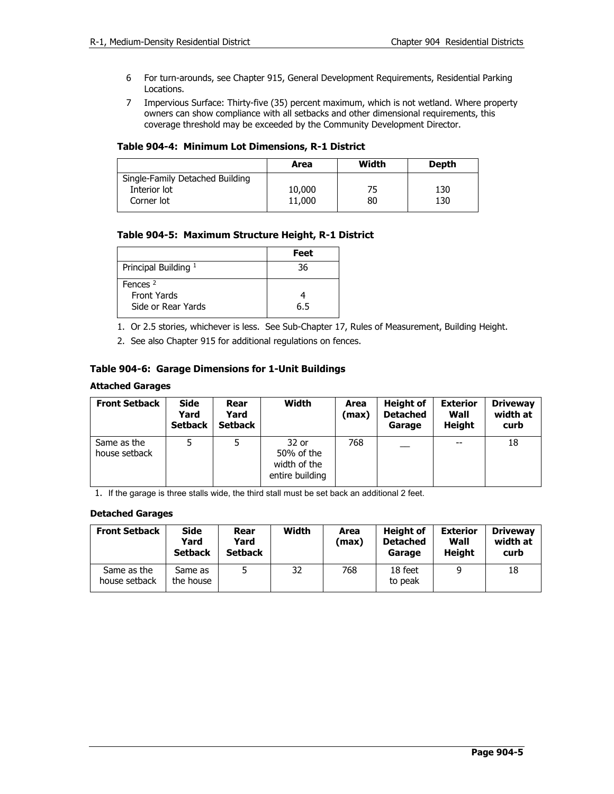- 6 For turn-arounds, see Chapter 915, General Development Requirements, Residential Parking Locations.
- 7 Impervious Surface: Thirty-five (35) percent maximum, which is not wetland. Where property owners can show compliance with all setbacks and other dimensional requirements, this coverage threshold may be exceeded by the Community Development Director.

#### **Table 904-4: Minimum Lot Dimensions, R-1 District**

|                                 | Area   | Width | <b>Depth</b> |
|---------------------------------|--------|-------|--------------|
| Single-Family Detached Building |        |       |              |
| Interior lot                    | 10,000 |       | 130          |
| Corner lot                      | 11,000 | 80    | 130          |

## **Table 904-5: Maximum Structure Height, R-1 District**

|                                                        | Feet |
|--------------------------------------------------------|------|
| Principal Building <sup>1</sup>                        | 36   |
| Fences $2$<br><b>Front Yards</b><br>Side or Rear Yards | 6.5  |

1. Or 2.5 stories, whichever is less. See Sub-Chapter 17, Rules of Measurement, Building Height.

2. See also Chapter 915 for additional regulations on fences.

### **Table 904-6: Garage Dimensions for 1-Unit Buildings**

#### **Attached Garages**

| <b>Front Setback</b>         | <b>Side</b><br>Yard<br><b>Setback</b> | Rear<br>Yard<br><b>Setback</b> | Width                                                  | Area<br>(max) | <b>Height of</b><br><b>Detached</b><br>Garage | <b>Exterior</b><br>Wall<br><b>Height</b> | <b>Driveway</b><br>width at<br>curb |
|------------------------------|---------------------------------------|--------------------------------|--------------------------------------------------------|---------------|-----------------------------------------------|------------------------------------------|-------------------------------------|
| Same as the<br>house setback | 5                                     | 5                              | 32 or<br>50% of the<br>width of the<br>entire building | 768           |                                               | $- -$                                    | 18                                  |

1. If the garage is three stalls wide, the third stall must be set back an additional 2 feet.

#### **Detached Garages**

| <b>Front Setback</b>         | <b>Side</b><br>Yard<br><b>Setback</b> | Rear<br>Yard<br><b>Setback</b> | Width | Area<br>(max) | <b>Height of</b><br><b>Detached</b><br>Garage | <b>Exterior</b><br>Wall<br>Height | <b>Driveway</b><br>width at<br>curb |
|------------------------------|---------------------------------------|--------------------------------|-------|---------------|-----------------------------------------------|-----------------------------------|-------------------------------------|
| Same as the<br>house setback | Same as<br>the house                  |                                | 32    | 768           | 18 feet<br>to peak                            |                                   | 18                                  |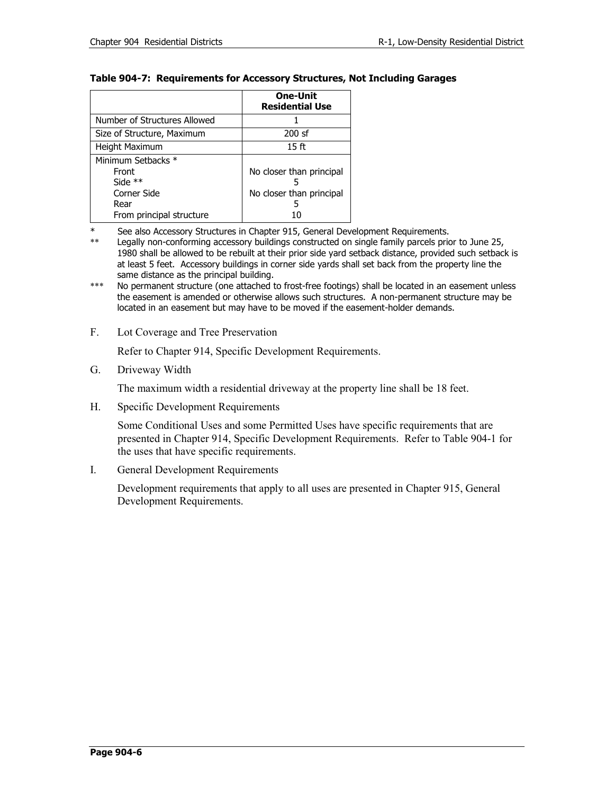|                              | <b>One-Unit</b><br><b>Residential Use</b> |
|------------------------------|-------------------------------------------|
| Number of Structures Allowed |                                           |
| Size of Structure, Maximum   | $200$ sf                                  |
| Height Maximum               | 15ff                                      |
| Minimum Setbacks *           |                                           |
| Front                        | No closer than principal                  |
| Side $**$                    |                                           |
| Corner Side                  | No closer than principal                  |
| Rear                         |                                           |
| From principal structure     |                                           |

### **Table 904-7: Requirements for Accessory Structures, Not Including Garages**

See also Accessory Structures in Chapter 915, General Development Requirements.

Legally non-conforming accessory buildings constructed on single family parcels prior to June 25, 1980 shall be allowed to be rebuilt at their prior side yard setback distance, provided such setback is at least 5 feet. Accessory buildings in corner side yards shall set back from the property line the same distance as the principal building.

- \*\*\* No permanent structure (one attached to frost-free footings) shall be located in an easement unless the easement is amended or otherwise allows such structures. A non-permanent structure may be located in an easement but may have to be moved if the easement-holder demands.
- F. Lot Coverage and Tree Preservation

Refer to Chapter 914, Specific Development Requirements.

G. Driveway Width

The maximum width a residential driveway at the property line shall be 18 feet.

H. Specific Development Requirements

Some Conditional Uses and some Permitted Uses have specific requirements that are presented in Chapter 914, Specific Development Requirements. Refer to Table 904-1 for the uses that have specific requirements.

I. General Development Requirements

Development requirements that apply to all uses are presented in Chapter 915, General Development Requirements.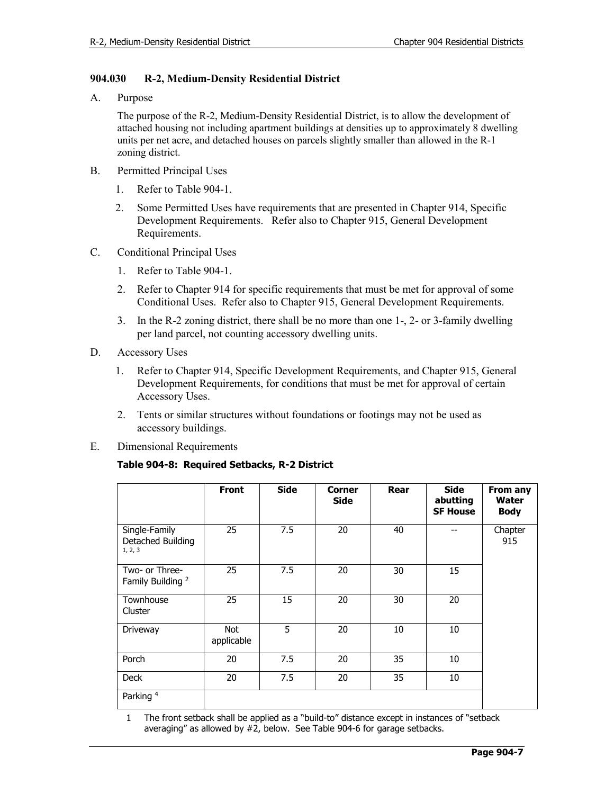# **904.030 R-2, Medium-Density Residential District**

A. Purpose

The purpose of the R-2, Medium-Density Residential District, is to allow the development of attached housing not including apartment buildings at densities up to approximately 8 dwelling units per net acre, and detached houses on parcels slightly smaller than allowed in the R-1 zoning district.

- B. Permitted Principal Uses
	- 1. Refer to Table 904-1.
	- 2. Some Permitted Uses have requirements that are presented in Chapter 914, Specific Development Requirements. Refer also to Chapter 915, General Development Requirements.
- C. Conditional Principal Uses
	- 1. Refer to Table 904-1.
	- 2. Refer to Chapter 914 for specific requirements that must be met for approval of some Conditional Uses. Refer also to Chapter 915, General Development Requirements.
	- 3. In the R-2 zoning district, there shall be no more than one 1-, 2- or 3-family dwelling per land parcel, not counting accessory dwelling units.
- D. Accessory Uses
	- 1. Refer to Chapter 914, Specific Development Requirements, and Chapter 915, General Development Requirements, for conditions that must be met for approval of certain Accessory Uses.
	- 2. Tents or similar structures without foundations or footings may not be used as accessory buildings.
- E. Dimensional Requirements

## **Table 904-8: Required Setbacks, R-2 District**

|                                               | <b>Front</b>             | <b>Side</b> | <b>Corner</b><br><b>Side</b> | Rear | <b>Side</b><br>abutting<br><b>SF House</b> | From any<br><b>Water</b><br><b>Body</b> |
|-----------------------------------------------|--------------------------|-------------|------------------------------|------|--------------------------------------------|-----------------------------------------|
| Single-Family<br>Detached Building<br>1, 2, 3 | 25                       | 7.5         | 20                           | 40   |                                            | Chapter<br>915                          |
| Two- or Three-<br>Family Building 2           | 25                       | 7.5         | 20                           | 30   | 15                                         |                                         |
| Townhouse<br>Cluster                          | 25                       | 15          | 20                           | 30   | 20                                         |                                         |
| Driveway                                      | <b>Not</b><br>applicable | 5           | 20                           | 10   | 10                                         |                                         |
| Porch                                         | 20                       | 7.5         | 20                           | 35   | 10                                         |                                         |
| <b>Deck</b>                                   | 20                       | 7.5         | 20                           | 35   | 10                                         |                                         |
| Parking <sup>4</sup>                          |                          |             |                              |      |                                            |                                         |

1 The front setback shall be applied as a "build-to" distance except in instances of "setback averaging" as allowed by #2, below. See Table 904-6 for garage setbacks.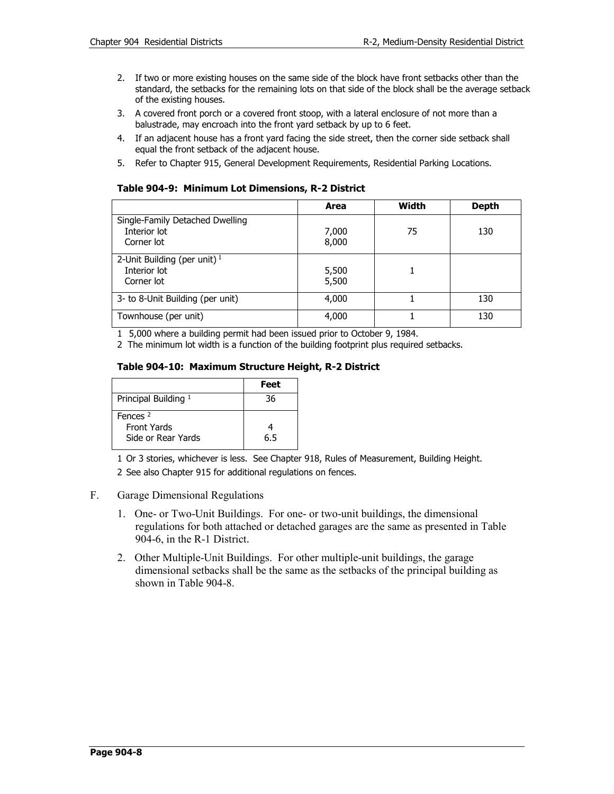- 2. If two or more existing houses on the same side of the block have front setbacks other than the standard, the setbacks for the remaining lots on that side of the block shall be the average setback of the existing houses.
- 3. A covered front porch or a covered front stoop, with a lateral enclosure of not more than a balustrade, may encroach into the front yard setback by up to 6 feet.
- 4. If an adjacent house has a front yard facing the side street, then the corner side setback shall equal the front setback of the adjacent house.
- 5. Refer to Chapter 915, General Development Requirements, Residential Parking Locations.

#### **Table 904-9: Minimum Lot Dimensions, R-2 District**

|                                                               | Area           | Width | Depth |
|---------------------------------------------------------------|----------------|-------|-------|
| Single-Family Detached Dwelling<br>Interior lot<br>Corner lot | 7,000<br>8,000 | 75    | 130   |
| 2-Unit Building (per unit) $1$<br>Interior lot<br>Corner lot  | 5,500<br>5,500 |       |       |
| 3- to 8-Unit Building (per unit)                              | 4,000          |       | 130   |
| Townhouse (per unit)                                          | 4,000          |       | 130   |

1 5,000 where a building permit had been issued prior to October 9, 1984.

2 The minimum lot width is a function of the building footprint plus required setbacks.

### **Table 904-10: Maximum Structure Height, R-2 District**

|                                 | Feet |
|---------------------------------|------|
| Principal Building <sup>1</sup> | 36   |
| Fences <sup>2</sup>             |      |
| <b>Front Yards</b>              |      |
| Side or Rear Yards              | 6.5  |

1 Or 3 stories, whichever is less. See Chapter 918, Rules of Measurement, Building Height.

2 See also Chapter 915 for additional regulations on fences.

#### F. Garage Dimensional Regulations

- 1. One- or Two-Unit Buildings. For one- or two-unit buildings, the dimensional regulations for both attached or detached garages are the same as presented in Table 904-6, in the R-1 District.
- 2. Other Multiple-Unit Buildings. For other multiple-unit buildings, the garage dimensional setbacks shall be the same as the setbacks of the principal building as shown in Table 904-8.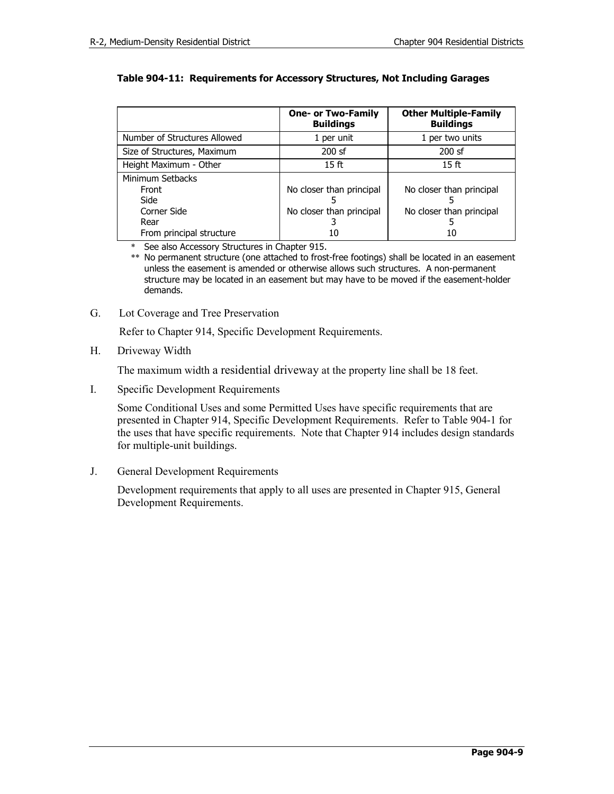|                                                                                      | <b>One- or Two-Family</b><br><b>Buildings</b>              | <b>Other Multiple-Family</b><br><b>Buildings</b>           |
|--------------------------------------------------------------------------------------|------------------------------------------------------------|------------------------------------------------------------|
| Number of Structures Allowed                                                         | 1 per unit                                                 | 1 per two units                                            |
| Size of Structures, Maximum                                                          | $200$ sf                                                   | $200$ sf                                                   |
| Height Maximum - Other                                                               | 15 <sub>ft</sub>                                           | 15 <sub>ft</sub>                                           |
| Minimum Setbacks<br>Front<br>Side<br>Corner Side<br>Rear<br>From principal structure | No closer than principal<br>No closer than principal<br>10 | No closer than principal<br>No closer than principal<br>10 |

## **Table 904-11: Requirements for Accessory Structures, Not Including Garages**

\* See also Accessory Structures in Chapter 915.

\*\* No permanent structure (one attached to frost-free footings) shall be located in an easement unless the easement is amended or otherwise allows such structures. A non-permanent structure may be located in an easement but may have to be moved if the easement-holder demands.

### G. Lot Coverage and Tree Preservation

Refer to Chapter 914, Specific Development Requirements.

### H. Driveway Width

The maximum width a residential driveway at the property line shall be 18 feet.

I. Specific Development Requirements

Some Conditional Uses and some Permitted Uses have specific requirements that are presented in Chapter 914, Specific Development Requirements. Refer to Table 904-1 for the uses that have specific requirements. Note that Chapter 914 includes design standards for multiple-unit buildings.

J. General Development Requirements

Development requirements that apply to all uses are presented in Chapter 915, General Development Requirements.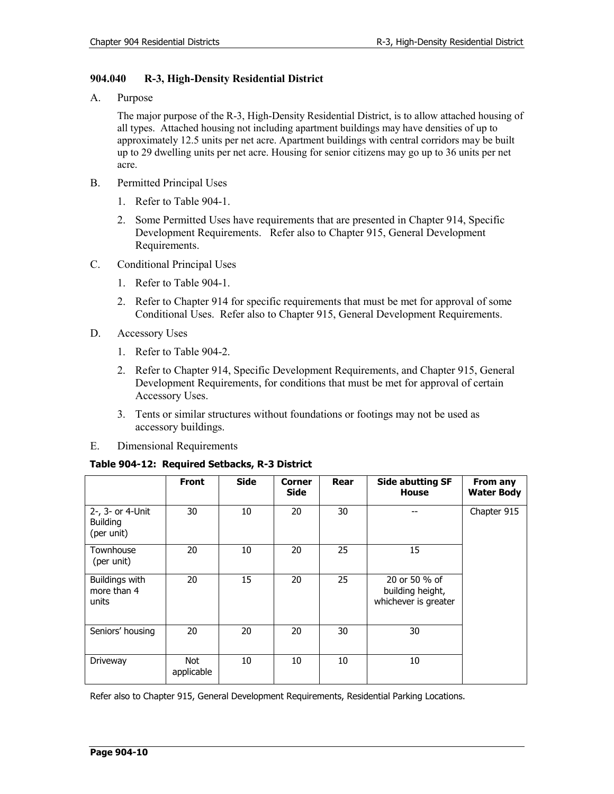# **904.040 R-3, High-Density Residential District**

A. Purpose

The major purpose of the R-3, High-Density Residential District, is to allow attached housing of all types. Attached housing not including apartment buildings may have densities of up to approximately 12.5 units per net acre. Apartment buildings with central corridors may be built up to 29 dwelling units per net acre. Housing for senior citizens may go up to 36 units per net acre.

- B. Permitted Principal Uses
	- 1. Refer to Table 904-1.
	- 2. Some Permitted Uses have requirements that are presented in Chapter 914, Specific Development Requirements. Refer also to Chapter 915, General Development Requirements.
- C. Conditional Principal Uses
	- 1. Refer to Table 904-1.
	- 2. Refer to Chapter 914 for specific requirements that must be met for approval of some Conditional Uses. Refer also to Chapter 915, General Development Requirements.
- D. Accessory Uses
	- 1. Refer to Table 904-2.
	- 2. Refer to Chapter 914, Specific Development Requirements, and Chapter 915, General Development Requirements, for conditions that must be met for approval of certain Accessory Uses.
	- 3. Tents or similar structures without foundations or footings may not be used as accessory buildings.
- E. Dimensional Requirements

## **Table 904-12: Required Setbacks, R-3 District**

|                                                   | <b>Front</b>       | <b>Side</b> | <b>Corner</b><br><b>Side</b> | Rear | <b>Side abutting SF</b><br><b>House</b>                   | From any<br><b>Water Body</b> |
|---------------------------------------------------|--------------------|-------------|------------------------------|------|-----------------------------------------------------------|-------------------------------|
| 2-, 3- or 4-Unit<br><b>Building</b><br>(per unit) | 30                 | 10          | 20                           | 30   |                                                           | Chapter 915                   |
| Townhouse<br>(per unit)                           | 20                 | 10          | 20                           | 25   | 15                                                        |                               |
| Buildings with<br>more than 4<br>units            | 20                 | 15          | 20                           | 25   | 20 or 50 % of<br>building height,<br>whichever is greater |                               |
| Seniors' housing                                  | 20                 | 20          | 20                           | 30   | 30                                                        |                               |
| Driveway                                          | Not.<br>applicable | 10          | 10                           | 10   | 10                                                        |                               |

Refer also to Chapter 915, General Development Requirements, Residential Parking Locations.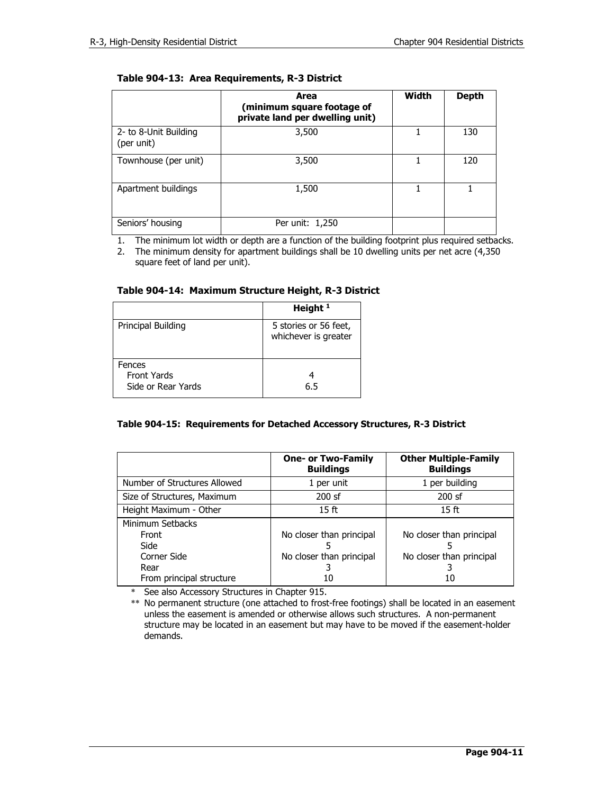|                                     | Area<br>(minimum square footage of<br>private land per dwelling unit) | Width | Depth |
|-------------------------------------|-----------------------------------------------------------------------|-------|-------|
| 2- to 8-Unit Building<br>(per unit) | 3,500                                                                 |       | 130   |
| Townhouse (per unit)                | 3,500                                                                 |       | 120   |
| Apartment buildings                 | 1,500                                                                 |       |       |
| Seniors' housing                    | Per unit: 1,250                                                       |       |       |

1. The minimum lot width or depth are a function of the building footprint plus required setbacks.

2. The minimum density for apartment buildings shall be 10 dwelling units per net acre (4,350 square feet of land per unit).

|  |  | Table 904-14: Maximum Structure Height, R-3 District |  |
|--|--|------------------------------------------------------|--|
|--|--|------------------------------------------------------|--|

|                                                    | Height <sup>1</sup>                           |
|----------------------------------------------------|-----------------------------------------------|
| Principal Building                                 | 5 stories or 56 feet,<br>whichever is greater |
| Fences<br><b>Front Yards</b><br>Side or Rear Yards | 6.5                                           |

#### **Table 904-15: Requirements for Detached Accessory Structures, R-3 District**

|                              | <b>One- or Two-Family</b><br><b>Buildings</b> | <b>Other Multiple-Family</b><br><b>Buildings</b> |
|------------------------------|-----------------------------------------------|--------------------------------------------------|
| Number of Structures Allowed | 1 per unit                                    | 1 per building                                   |
| Size of Structures, Maximum  | $200$ sf                                      | $200$ sf                                         |
| Height Maximum - Other       | 15 ft                                         | 15 ft                                            |
| Minimum Setbacks             |                                               |                                                  |
| Front                        | No closer than principal                      | No closer than principal                         |
| Side                         |                                               |                                                  |
| Corner Side                  | No closer than principal                      | No closer than principal                         |
| Rear                         |                                               |                                                  |
| From principal structure     | 10                                            | 10                                               |

\* See also Accessory Structures in Chapter 915.

\*\* No permanent structure (one attached to frost-free footings) shall be located in an easement unless the easement is amended or otherwise allows such structures. A non-permanent structure may be located in an easement but may have to be moved if the easement-holder demands.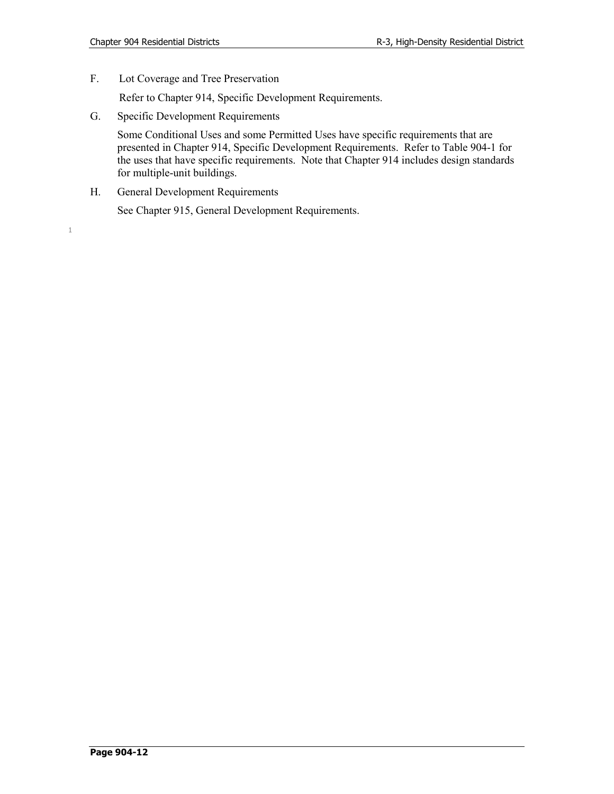F. Lot Coverage and Tree Preservation

Refer to Chapter 914, Specific Development Requirements.

G. Specific Development Requirements

Some Conditional Uses and some Permitted Uses have specific requirements that are presented in Chapter 914, Specific Development Requirements. Refer to Table 904-1 for the uses that have specific requirements. Note that Chapter 914 includes design standards for multiple-unit buildings.

H. General Development Requirements

1

See Chapter 915, General Development Requirements.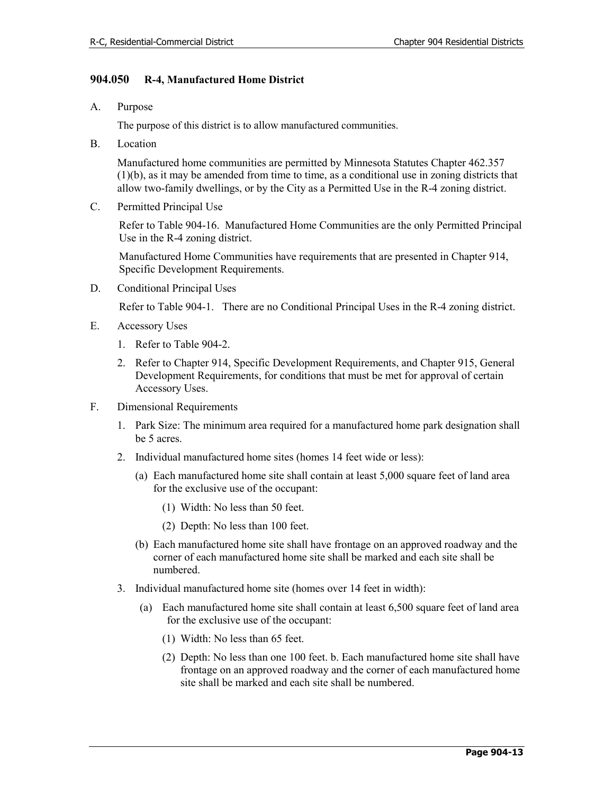# **904.050 R-4, Manufactured Home District**

A. Purpose

The purpose of this district is to allow manufactured communities.

B. Location

Manufactured home communities are permitted by Minnesota Statutes Chapter 462.357 (1)(b), as it may be amended from time to time, as a conditional use in zoning districts that allow two-family dwellings, or by the City as a Permitted Use in the R-4 zoning district.

C. Permitted Principal Use

Refer to Table 904-16. Manufactured Home Communities are the only Permitted Principal Use in the R-4 zoning district.

Manufactured Home Communities have requirements that are presented in Chapter 914, Specific Development Requirements.

D. Conditional Principal Uses

Refer to Table 904-1. There are no Conditional Principal Uses in the R-4 zoning district.

- E. Accessory Uses
	- 1. Refer to Table 904-2.
	- 2. Refer to Chapter 914, Specific Development Requirements, and Chapter 915, General Development Requirements, for conditions that must be met for approval of certain Accessory Uses.
- F. Dimensional Requirements
	- 1. Park Size: The minimum area required for a manufactured home park designation shall be 5 acres.
	- 2. Individual manufactured home sites (homes 14 feet wide or less):
		- (a) Each manufactured home site shall contain at least 5,000 square feet of land area for the exclusive use of the occupant:
			- (1) Width: No less than 50 feet.
			- (2) Depth: No less than 100 feet.
		- (b) Each manufactured home site shall have frontage on an approved roadway and the corner of each manufactured home site shall be marked and each site shall be numbered.
	- 3. Individual manufactured home site (homes over 14 feet in width):
		- (a) Each manufactured home site shall contain at least 6,500 square feet of land area for the exclusive use of the occupant:
			- (1) Width: No less than 65 feet.
			- (2) Depth: No less than one 100 feet. b. Each manufactured home site shall have frontage on an approved roadway and the corner of each manufactured home site shall be marked and each site shall be numbered.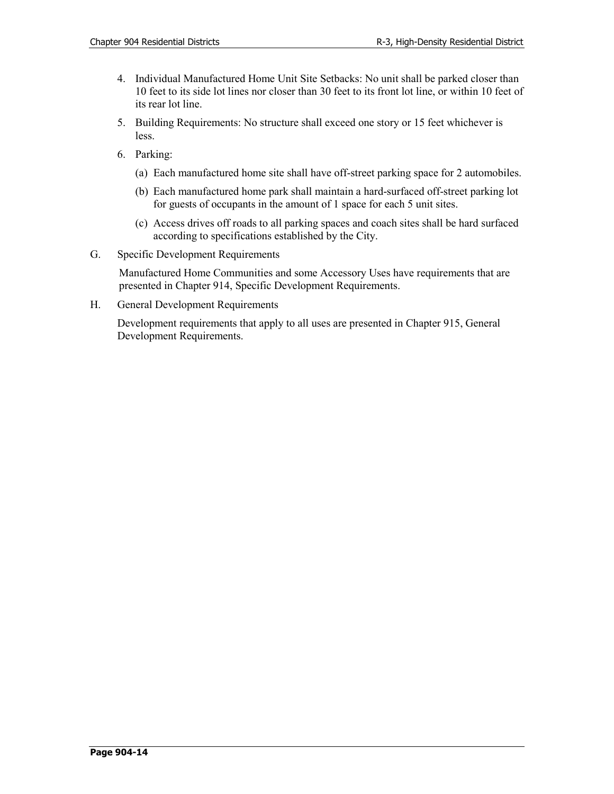- 4. Individual Manufactured Home Unit Site Setbacks: No unit shall be parked closer than 10 feet to its side lot lines nor closer than 30 feet to its front lot line, or within 10 feet of its rear lot line.
- 5. Building Requirements: No structure shall exceed one story or 15 feet whichever is less.
- 6. Parking:
	- (a) Each manufactured home site shall have off-street parking space for 2 automobiles.
	- (b) Each manufactured home park shall maintain a hard-surfaced off-street parking lot for guests of occupants in the amount of 1 space for each 5 unit sites.
	- (c) Access drives off roads to all parking spaces and coach sites shall be hard surfaced according to specifications established by the City.
- G. Specific Development Requirements

Manufactured Home Communities and some Accessory Uses have requirements that are presented in Chapter 914, Specific Development Requirements.

H. General Development Requirements

Development requirements that apply to all uses are presented in Chapter 915, General Development Requirements.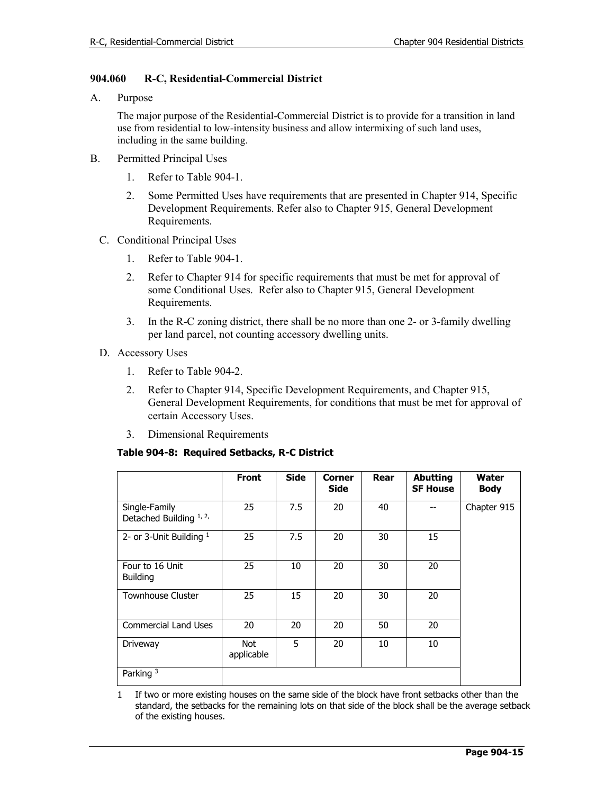# **904.060 R-C, Residential-Commercial District**

A. Purpose

The major purpose of the Residential-Commercial District is to provide for a transition in land use from residential to low-intensity business and allow intermixing of such land uses, including in the same building.

- B. Permitted Principal Uses
	- 1. Refer to Table 904-1.
	- 2. Some Permitted Uses have requirements that are presented in Chapter 914, Specific Development Requirements. Refer also to Chapter 915, General Development Requirements.
	- C. Conditional Principal Uses
		- 1. Refer to Table 904-1.
		- 2. Refer to Chapter 914 for specific requirements that must be met for approval of some Conditional Uses. Refer also to Chapter 915, General Development Requirements.
		- 3. In the R-C zoning district, there shall be no more than one 2- or 3-family dwelling per land parcel, not counting accessory dwelling units.
	- D. Accessory Uses
		- 1. Refer to Table 904-2.
		- 2. Refer to Chapter 914, Specific Development Requirements, and Chapter 915, General Development Requirements, for conditions that must be met for approval of certain Accessory Uses.
		- 3. Dimensional Requirements

## **Table 904-8: Required Setbacks, R-C District**

|                                          | <b>Front</b>       | <b>Side</b> | <b>Corner</b><br><b>Side</b> | Rear | <b>Abutting</b><br><b>SF House</b> | Water<br><b>Body</b> |
|------------------------------------------|--------------------|-------------|------------------------------|------|------------------------------------|----------------------|
| Single-Family<br>Detached Building 1, 2, | 25                 | 7.5         | 20                           | 40   |                                    | Chapter 915          |
| 2- or 3-Unit Building $1$                | 25                 | 7.5         | 20                           | 30   | 15                                 |                      |
| Four to 16 Unit<br><b>Building</b>       | 25                 | 10          | 20                           | 30   | 20                                 |                      |
| <b>Townhouse Cluster</b>                 | 25                 | 15          | 20                           | 30   | 20                                 |                      |
| <b>Commercial Land Uses</b>              | 20                 | 20          | 20                           | 50   | 20                                 |                      |
| Driveway                                 | Not.<br>applicable | 5           | 20                           | 10   | 10                                 |                      |
| Parking <sup>3</sup>                     |                    |             |                              |      |                                    |                      |

1 If two or more existing houses on the same side of the block have front setbacks other than the standard, the setbacks for the remaining lots on that side of the block shall be the average setback of the existing houses.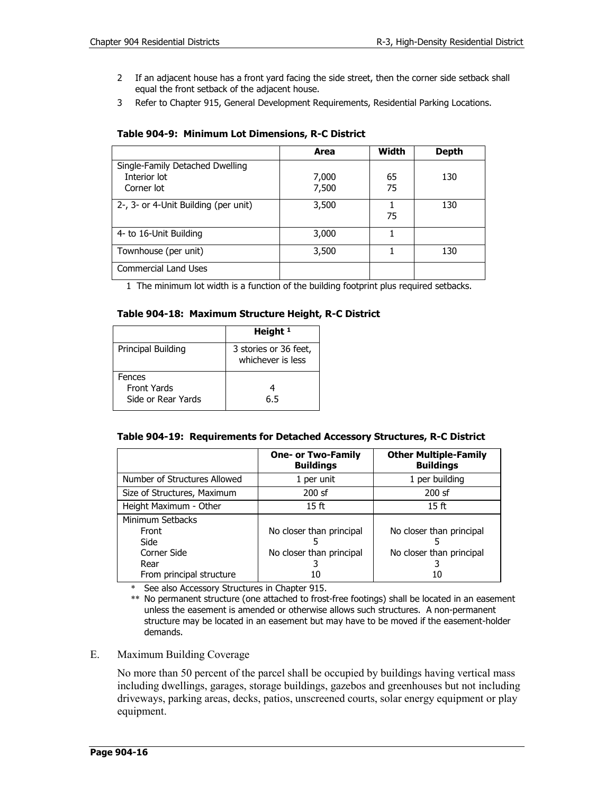- 2 If an adjacent house has a front yard facing the side street, then the corner side setback shall equal the front setback of the adjacent house.
- 3 Refer to Chapter 915, General Development Requirements, Residential Parking Locations.

### **Table 904-9: Minimum Lot Dimensions, R-C District**

|                                                               | Area           | Width    | Depth |
|---------------------------------------------------------------|----------------|----------|-------|
| Single-Family Detached Dwelling<br>Interior lot<br>Corner lot | 7,000<br>7,500 | 65<br>75 | 130   |
| 2-, 3- or 4-Unit Building (per unit)                          | 3,500          | 75       | 130   |
| 4- to 16-Unit Building                                        | 3,000          |          |       |
| Townhouse (per unit)                                          | 3,500          |          | 130   |
| <b>Commercial Land Uses</b>                                   |                |          |       |

1 The minimum lot width is a function of the building footprint plus required setbacks.

## **Table 904-18: Maximum Structure Height, R-C District**

|                                                    | Height <sup>1</sup>                        |
|----------------------------------------------------|--------------------------------------------|
| Principal Building                                 | 3 stories or 36 feet,<br>whichever is less |
| Fences<br><b>Front Yards</b><br>Side or Rear Yards | 4<br>6.5                                   |

|                              | <b>One- or Two-Family</b><br><b>Buildings</b> | <b>Other Multiple-Family</b><br><b>Buildings</b> |
|------------------------------|-----------------------------------------------|--------------------------------------------------|
| Number of Structures Allowed | 1 per unit                                    | 1 per building                                   |
| Size of Structures, Maximum  | $200$ sf                                      | $200$ sf                                         |
| Height Maximum - Other       | 15 <sub>ft</sub>                              | 15 <sub>ft</sub>                                 |
| Minimum Setbacks             |                                               |                                                  |
| Front<br>Side                | No closer than principal                      | No closer than principal                         |
| Corner Side                  | No closer than principal                      | No closer than principal                         |
| Rear                         |                                               |                                                  |
| From principal structure     | 10                                            | 10                                               |

See also Accessory Structures in Chapter 915.

\*\* No permanent structure (one attached to frost-free footings) shall be located in an easement unless the easement is amended or otherwise allows such structures. A non-permanent structure may be located in an easement but may have to be moved if the easement-holder demands.

#### E. Maximum Building Coverage

No more than 50 percent of the parcel shall be occupied by buildings having vertical mass including dwellings, garages, storage buildings, gazebos and greenhouses but not including driveways, parking areas, decks, patios, unscreened courts, solar energy equipment or play equipment.